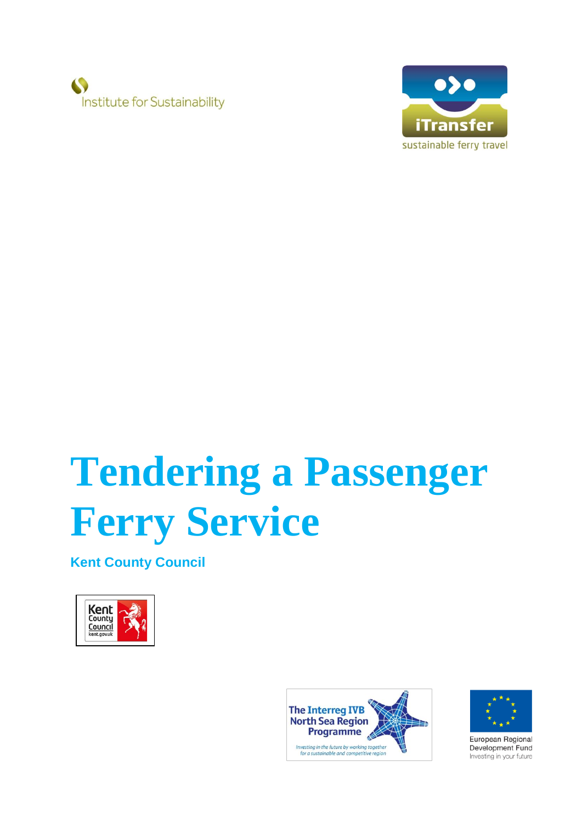



# **Tendering a Passenger Ferry Service**

**Kent County Council**







European Regional Development Fund Investing in your future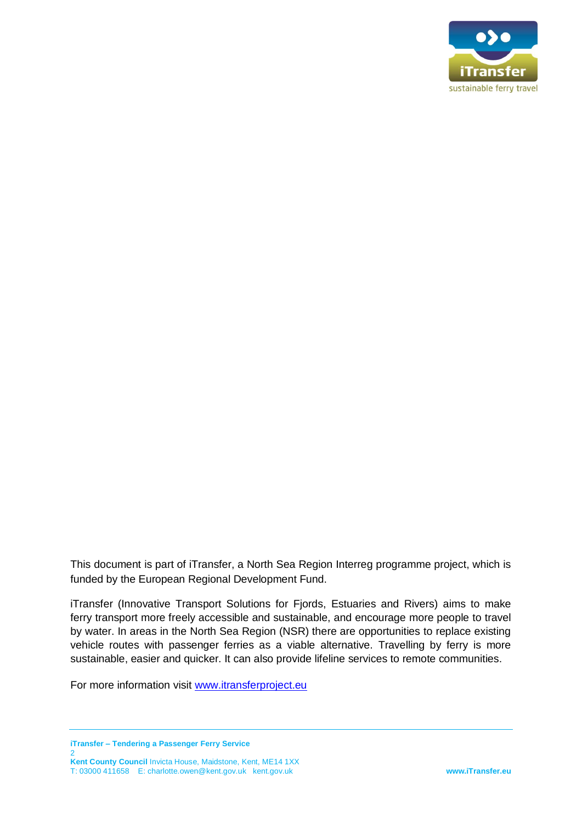<span id="page-1-0"></span>

This document is part of iTransfer, a North Sea Region Interreg programme project, which is funded by the European Regional Development Fund.

iTransfer (Innovative Transport Solutions for Fjords, Estuaries and Rivers) aims to make ferry transport more freely accessible and sustainable, and encourage more people to travel by water. In areas in the North Sea Region (NSR) there are opportunities to replace existing vehicle routes with passenger ferries as a viable alternative. Travelling by ferry is more sustainable, easier and quicker. It can also provide lifeline services to remote communities.

For more information visit [www.itransferproject.eu](http://www.itransferproject.eu/)

**iTransfer – Tendering a Passenger Ferry Service**   $\overline{2}$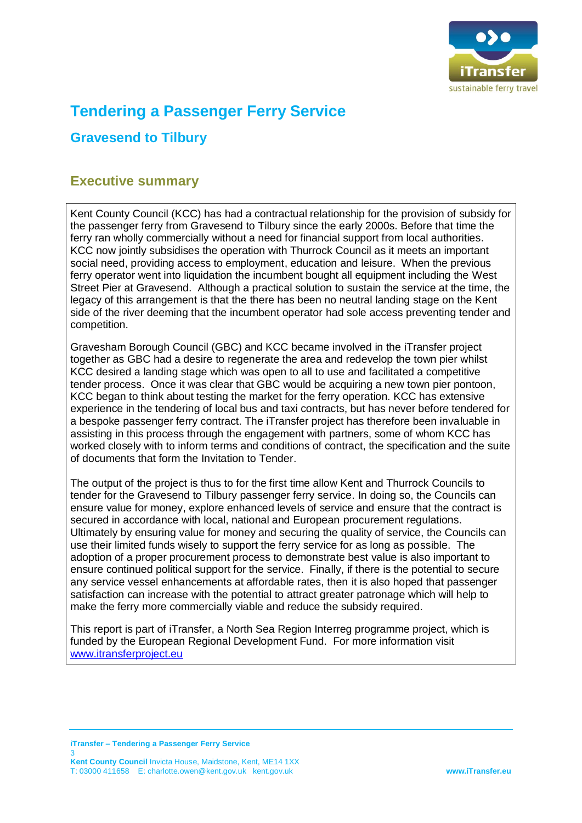

# **Tendering a Passenger Ferry Service**

### <span id="page-2-0"></span>**Gravesend to Tilbury**

#### <span id="page-2-1"></span>**Executive summary**

Kent County Council (KCC) has had a contractual relationship for the provision of subsidy for the passenger ferry from Gravesend to Tilbury since the early 2000s. Before that time the ferry ran wholly commercially without a need for financial support from local authorities. KCC now jointly subsidises the operation with Thurrock Council as it meets an important social need, providing access to employment, education and leisure. When the previous ferry operator went into liquidation the incumbent bought all equipment including the West Street Pier at Gravesend. Although a practical solution to sustain the service at the time, the legacy of this arrangement is that the there has been no neutral landing stage on the Kent side of the river deeming that the incumbent operator had sole access preventing tender and competition.

Gravesham Borough Council (GBC) and KCC became involved in the iTransfer project together as GBC had a desire to regenerate the area and redevelop the town pier whilst KCC desired a landing stage which was open to all to use and facilitated a competitive tender process. Once it was clear that GBC would be acquiring a new town pier pontoon, KCC began to think about testing the market for the ferry operation. KCC has extensive experience in the tendering of local bus and taxi contracts, but has never before tendered for a bespoke passenger ferry contract. The iTransfer project has therefore been invaluable in assisting in this process through the engagement with partners, some of whom KCC has worked closely with to inform terms and conditions of contract, the specification and the suite of documents that form the Invitation to Tender.

The output of the project is thus to for the first time allow Kent and Thurrock Councils to tender for the Gravesend to Tilbury passenger ferry service. In doing so, the Councils can ensure value for money, explore enhanced levels of service and ensure that the contract is secured in accordance with local, national and European procurement regulations. Ultimately by ensuring value for money and securing the quality of service, the Councils can use their limited funds wisely to support the ferry service for as long as possible. The adoption of a proper procurement process to demonstrate best value is also important to ensure continued political support for the service. Finally, if there is the potential to secure any service vessel enhancements at affordable rates, then it is also hoped that passenger satisfaction can increase with the potential to attract greater patronage which will help to make the ferry more commercially viable and reduce the subsidy required.

This report is part of iTransfer, a North Sea Region Interreg programme project, which is funded by the European Regional Development Fund. For more information visit [www.itransferproject.eu](http://www.itransferproject.eu/)

**iTransfer – Tendering a Passenger Ferry Service**  3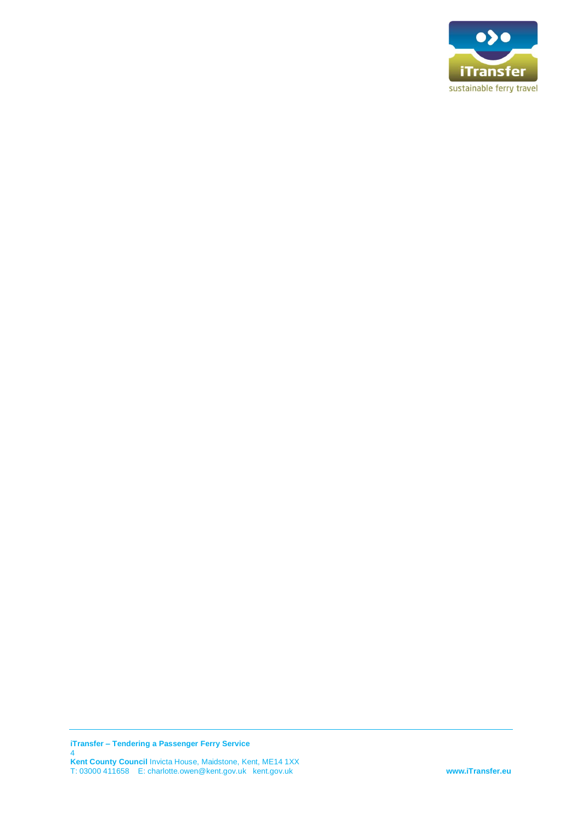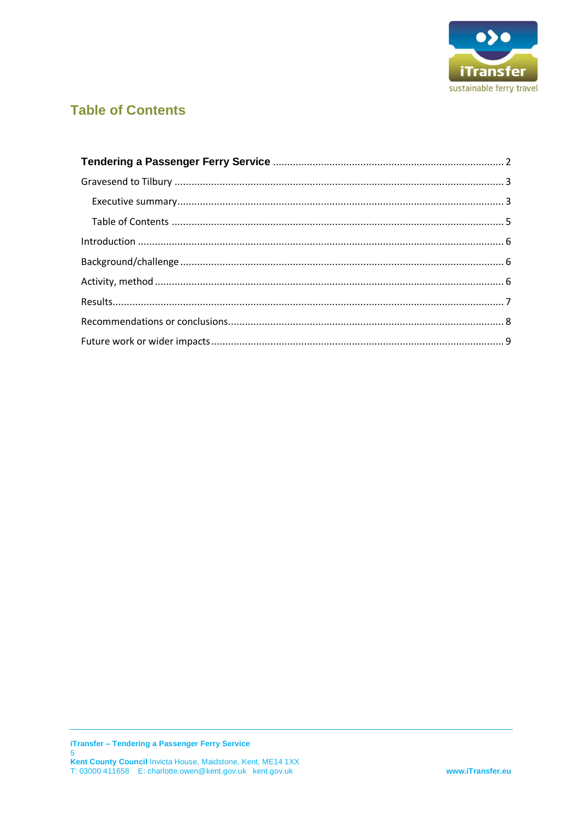

## <span id="page-4-0"></span>**Table of Contents**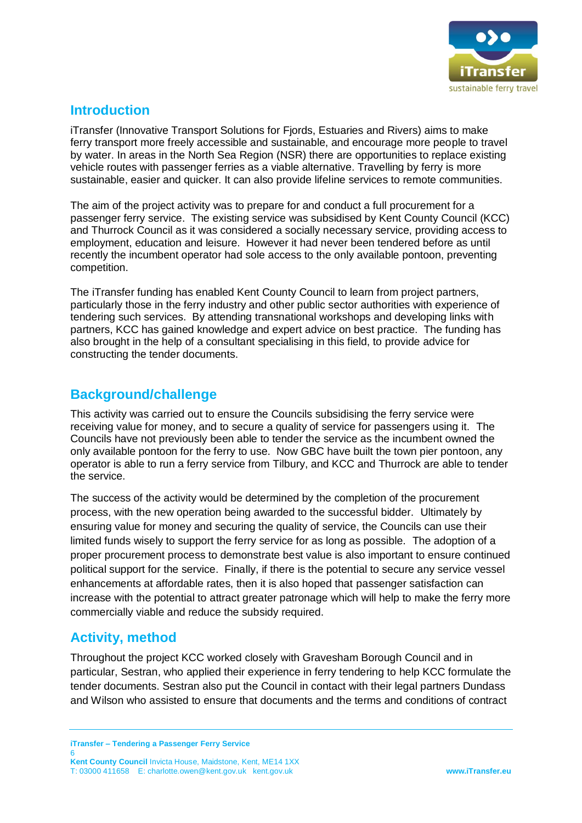

#### <span id="page-5-0"></span>**Introduction**

iTransfer (Innovative Transport Solutions for Fjords, Estuaries and Rivers) aims to make ferry transport more freely accessible and sustainable, and encourage more people to travel by water. In areas in the North Sea Region (NSR) there are opportunities to replace existing vehicle routes with passenger ferries as a viable alternative. Travelling by ferry is more sustainable, easier and quicker. It can also provide lifeline services to remote communities.

The aim of the project activity was to prepare for and conduct a full procurement for a passenger ferry service. The existing service was subsidised by Kent County Council (KCC) and Thurrock Council as it was considered a socially necessary service, providing access to employment, education and leisure. However it had never been tendered before as until recently the incumbent operator had sole access to the only available pontoon, preventing competition.

The iTransfer funding has enabled Kent County Council to learn from project partners, particularly those in the ferry industry and other public sector authorities with experience of tendering such services. By attending transnational workshops and developing links with partners, KCC has gained knowledge and expert advice on best practice. The funding has also brought in the help of a consultant specialising in this field, to provide advice for constructing the tender documents.

#### <span id="page-5-1"></span>**Background/challenge**

This activity was carried out to ensure the Councils subsidising the ferry service were receiving value for money, and to secure a quality of service for passengers using it. The Councils have not previously been able to tender the service as the incumbent owned the only available pontoon for the ferry to use. Now GBC have built the town pier pontoon, any operator is able to run a ferry service from Tilbury, and KCC and Thurrock are able to tender the service.

The success of the activity would be determined by the completion of the procurement process, with the new operation being awarded to the successful bidder. Ultimately by ensuring value for money and securing the quality of service, the Councils can use their limited funds wisely to support the ferry service for as long as possible. The adoption of a proper procurement process to demonstrate best value is also important to ensure continued political support for the service. Finally, if there is the potential to secure any service vessel enhancements at affordable rates, then it is also hoped that passenger satisfaction can increase with the potential to attract greater patronage which will help to make the ferry more commercially viable and reduce the subsidy required.

#### <span id="page-5-2"></span>**Activity, method**

Throughout the project KCC worked closely with Gravesham Borough Council and in particular, Sestran, who applied their experience in ferry tendering to help KCC formulate the tender documents. Sestran also put the Council in contact with their legal partners Dundass and Wilson who assisted to ensure that documents and the terms and conditions of contract

**iTransfer – Tendering a Passenger Ferry Service**  6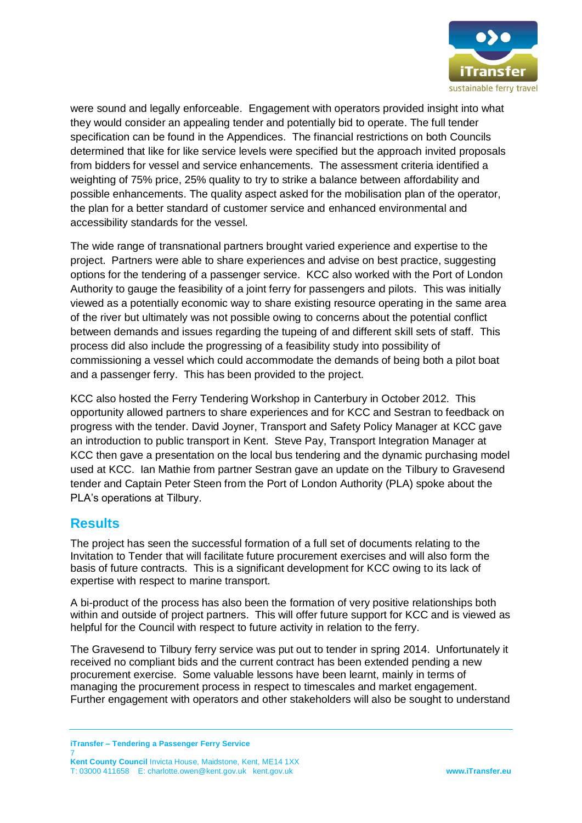

were sound and legally enforceable. Engagement with operators provided insight into what they would consider an appealing tender and potentially bid to operate. The full tender specification can be found in the Appendices. The financial restrictions on both Councils determined that like for like service levels were specified but the approach invited proposals from bidders for vessel and service enhancements. The assessment criteria identified a weighting of 75% price, 25% quality to try to strike a balance between affordability and possible enhancements. The quality aspect asked for the mobilisation plan of the operator, the plan for a better standard of customer service and enhanced environmental and accessibility standards for the vessel.

The wide range of transnational partners brought varied experience and expertise to the project. Partners were able to share experiences and advise on best practice, suggesting options for the tendering of a passenger service. KCC also worked with the Port of London Authority to gauge the feasibility of a joint ferry for passengers and pilots. This was initially viewed as a potentially economic way to share existing resource operating in the same area of the river but ultimately was not possible owing to concerns about the potential conflict between demands and issues regarding the tupeing of and different skill sets of staff. This process did also include the progressing of a feasibility study into possibility of commissioning a vessel which could accommodate the demands of being both a pilot boat and a passenger ferry. This has been provided to the project.

KCC also hosted the Ferry Tendering Workshop in Canterbury in October 2012. This opportunity allowed partners to share experiences and for KCC and Sestran to feedback on progress with the tender. David Joyner, Transport and Safety Policy Manager at KCC gave an introduction to public transport in Kent. Steve Pay, Transport Integration Manager at KCC then gave a presentation on the local bus tendering and the dynamic purchasing model used at KCC. Ian Mathie from partner Sestran gave an update on the Tilbury to Gravesend tender and Captain Peter Steen from the Port of London Authority (PLA) spoke about the PLA's operations at Tilbury.

#### <span id="page-6-0"></span>**Results**

The project has seen the successful formation of a full set of documents relating to the Invitation to Tender that will facilitate future procurement exercises and will also form the basis of future contracts. This is a significant development for KCC owing to its lack of expertise with respect to marine transport.

A bi-product of the process has also been the formation of very positive relationships both within and outside of project partners. This will offer future support for KCC and is viewed as helpful for the Council with respect to future activity in relation to the ferry.

The Gravesend to Tilbury ferry service was put out to tender in spring 2014. Unfortunately it received no compliant bids and the current contract has been extended pending a new procurement exercise. Some valuable lessons have been learnt, mainly in terms of managing the procurement process in respect to timescales and market engagement. Further engagement with operators and other stakeholders will also be sought to understand

**iTransfer – Tendering a Passenger Ferry Service**  7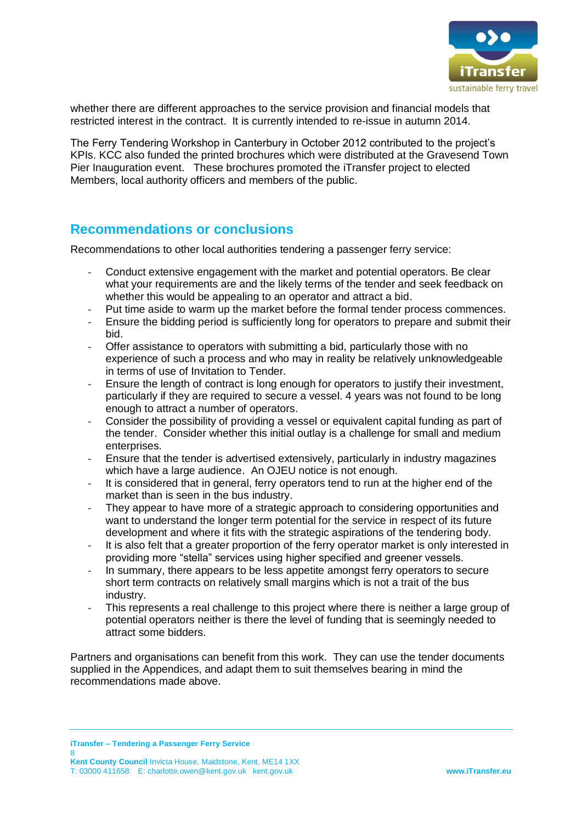

whether there are different approaches to the service provision and financial models that restricted interest in the contract. It is currently intended to re-issue in autumn 2014.

The Ferry Tendering Workshop in Canterbury in October 2012 contributed to the project's KPIs. KCC also funded the printed brochures which were distributed at the Gravesend Town Pier Inauguration event. These brochures promoted the iTransfer project to elected Members, local authority officers and members of the public.

#### <span id="page-7-0"></span>**Recommendations or conclusions**

Recommendations to other local authorities tendering a passenger ferry service:

- Conduct extensive engagement with the market and potential operators. Be clear what your requirements are and the likely terms of the tender and seek feedback on whether this would be appealing to an operator and attract a bid.
- Put time aside to warm up the market before the formal tender process commences.
- Ensure the bidding period is sufficiently long for operators to prepare and submit their bid.
- Offer assistance to operators with submitting a bid, particularly those with no experience of such a process and who may in reality be relatively unknowledgeable in terms of use of Invitation to Tender.
- Ensure the length of contract is long enough for operators to justify their investment, particularly if they are required to secure a vessel. 4 years was not found to be long enough to attract a number of operators.
- Consider the possibility of providing a vessel or equivalent capital funding as part of the tender. Consider whether this initial outlay is a challenge for small and medium enterprises.
- Ensure that the tender is advertised extensively, particularly in industry magazines which have a large audience. An OJEU notice is not enough.
- It is considered that in general, ferry operators tend to run at the higher end of the market than is seen in the bus industry.
- They appear to have more of a strategic approach to considering opportunities and want to understand the longer term potential for the service in respect of its future development and where it fits with the strategic aspirations of the tendering body.
- It is also felt that a greater proportion of the ferry operator market is only interested in providing more "stella" services using higher specified and greener vessels.
- In summary, there appears to be less appetite amongst ferry operators to secure short term contracts on relatively small margins which is not a trait of the bus industry.
- This represents a real challenge to this project where there is neither a large group of potential operators neither is there the level of funding that is seemingly needed to attract some bidders.

Partners and organisations can benefit from this work. They can use the tender documents supplied in the Appendices, and adapt them to suit themselves bearing in mind the recommendations made above.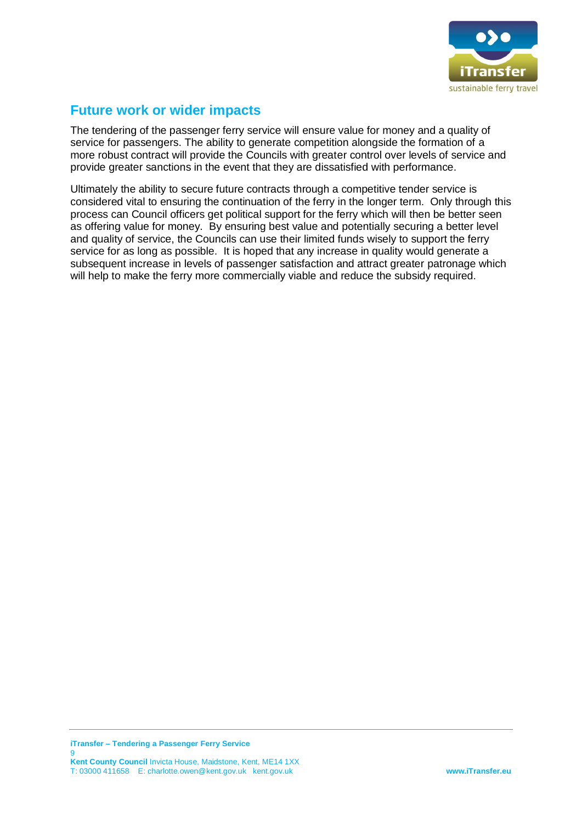

#### <span id="page-8-0"></span>**Future work or wider impacts**

The tendering of the passenger ferry service will ensure value for money and a quality of service for passengers. The ability to generate competition alongside the formation of a more robust contract will provide the Councils with greater control over levels of service and provide greater sanctions in the event that they are dissatisfied with performance.

Ultimately the ability to secure future contracts through a competitive tender service is considered vital to ensuring the continuation of the ferry in the longer term. Only through this process can Council officers get political support for the ferry which will then be better seen as offering value for money. By ensuring best value and potentially securing a better level and quality of service, the Councils can use their limited funds wisely to support the ferry service for as long as possible. It is hoped that any increase in quality would generate a subsequent increase in levels of passenger satisfaction and attract greater patronage which will help to make the ferry more commercially viable and reduce the subsidy required.